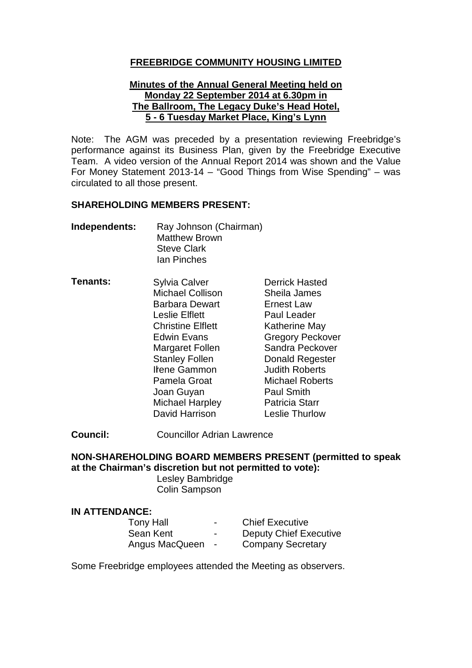### **FREEBRIDGE COMMUNITY HOUSING LIMITED**

#### **Minutes of the Annual General Meeting held on Monday 22 September 2014 at 6.30pm in The Ballroom, The Legacy Duke's Head Hotel, 5 - 6 Tuesday Market Place, King's Lynn**

Note: The AGM was preceded by a presentation reviewing Freebridge's performance against its Business Plan, given by the Freebridge Executive Team. A video version of the Annual Report 2014 was shown and the Value For Money Statement 2013-14 – "Good Things from Wise Spending" – was circulated to all those present.

#### **SHAREHOLDING MEMBERS PRESENT:**

| Independents: | Ray Johnson (Chairman) |
|---------------|------------------------|
|               | <b>Matthew Brown</b>   |
|               | <b>Steve Clark</b>     |
|               | <b>Ian Pinches</b>     |

**Tenants:** I Irene Gammon Judith Roberts Sylvia Calver **Derrick Hasted** Michael Collison Sheila James Barbara Dewart **Ernest Law** Leslie Elflett Paul Leader Christine Elflett Katherine May Edwin Evans Gregory Peckover<br>
Margaret Follen Sandra Peckover Margaret Follen Stanley Follen Donald Regester Pamela Groat Michael Roberts Joan Guyan **Paul Smith** Michael Harpley Patricia Starr<br>
David Harrison Beslie Thurlow David Harrison

**Council:** Councillor Adrian Lawrence

### **NON-SHAREHOLDING BOARD MEMBERS PRESENT (permitted to speak at the Chairman's discretion but not permitted to vote):**

Lesley Bambridge Colin Sampson

#### **IN ATTENDANCE:**

| Tony Hall      | $\overline{\phantom{0}}$ | <b>Chief Executive</b>        |
|----------------|--------------------------|-------------------------------|
| Sean Kent      | $\sim$                   | <b>Deputy Chief Executive</b> |
| Angus MacQueen | $\sim$                   | <b>Company Secretary</b>      |

Some Freebridge employees attended the Meeting as observers.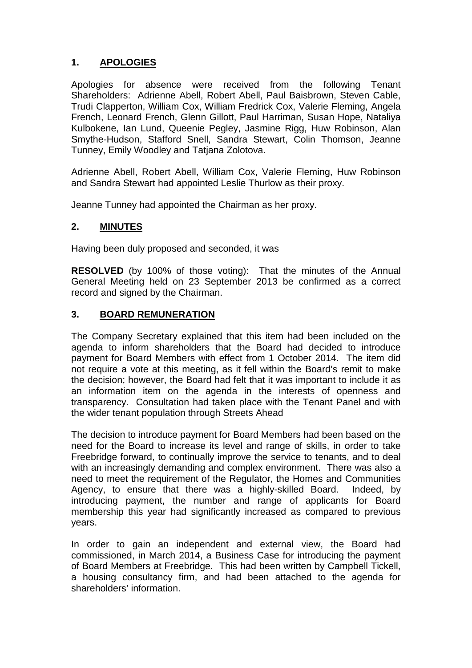# **1. APOLOGIES**

Apologies for absence were received from the following Tenant Shareholders: Adrienne Abell, Robert Abell, Paul Baisbrown, Steven Cable, Trudi Clapperton, William Cox, William Fredrick Cox, Valerie Fleming, Angela French, Leonard French, Glenn Gillott, Paul Harriman, Susan Hope, Nataliya Kulbokene, Ian Lund, Queenie Pegley, Jasmine Rigg, Huw Robinson, Alan Smythe-Hudson, Stafford Snell, Sandra Stewart, Colin Thomson, Jeanne Tunney, Emily Woodley and Tatjana Zolotova.

Adrienne Abell, Robert Abell, William Cox, Valerie Fleming, Huw Robinson and Sandra Stewart had appointed Leslie Thurlow as their proxy.

Jeanne Tunney had appointed the Chairman as her proxy.

## **2. MINUTES**

Having been duly proposed and seconded, it was

**RESOLVED** (by 100% of those voting):That the minutes of the Annual General Meeting held on 23 September 2013 be confirmed as a correct record and signed by the Chairman.

### **3. BOARD REMUNERATION**

The Company Secretary explained that this item had been included on the agenda to inform shareholders that the Board had decided to introduce payment for Board Members with effect from 1 October 2014. The item did not require a vote at this meeting, as it fell within the Board's remit to make the decision; however, the Board had felt that it was important to include it as an information item on the agenda in the interests of openness and transparency. Consultation had taken place with the Tenant Panel and with the wider tenant population through Streets Ahead

The decision to introduce payment for Board Members had been based on the need for the Board to increase its level and range of skills, in order to take Freebridge forward, to continually improve the service to tenants, and to deal with an increasingly demanding and complex environment. There was also a need to meet the requirement of the Regulator, the Homes and Communities Agency, to ensure that there was a highly-skilled Board. Indeed, by introducing payment, the number and range of applicants for Board membership this year had significantly increased as compared to previous years.

In order to gain an independent and external view, the Board had commissioned, in March 2014, a Business Case for introducing the payment of Board Members at Freebridge. This had been written by Campbell Tickell, a housing consultancy firm, and had been attached to the agenda for shareholders' information.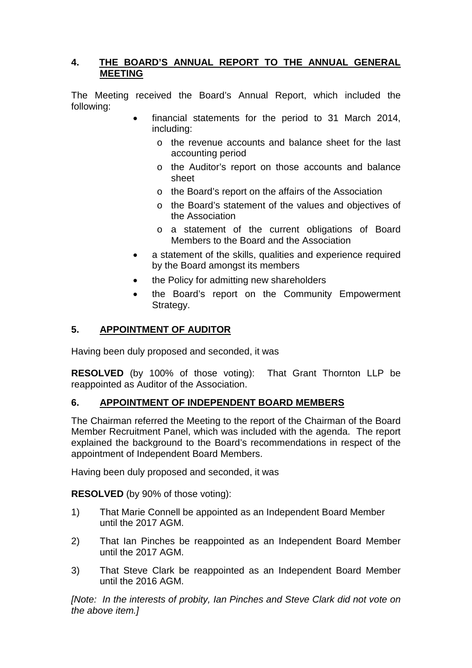## **4. THE BOARD'S ANNUAL REPORT TO THE ANNUAL GENERAL MEETING**

The Meeting received the Board's Annual Report, which included the following:

- financial statements for the period to 31 March 2014, including:
	- o the revenue accounts and balance sheet for the last accounting period
	- o the Auditor's report on those accounts and balance sheet
	- o the Board's report on the affairs of the Association
	- o the Board's statement of the values and objectives of the Association
	- o a statement of the current obligations of Board Members to the Board and the Association
- a statement of the skills, qualities and experience required by the Board amongst its members
- the Policy for admitting new shareholders
- the Board's report on the Community Empowerment Strategy.

## **5. APPOINTMENT OF AUDITOR**

Having been duly proposed and seconded, it was

**RESOLVED** (by 100% of those voting):That Grant Thornton LLP be reappointed as Auditor of the Association.

## **6. APPOINTMENT OF INDEPENDENT BOARD MEMBERS**

The Chairman referred the Meeting to the report of the Chairman of the Board Member Recruitment Panel, which was included with the agenda. The report explained the background to the Board's recommendations in respect of the appointment of Independent Board Members.

Having been duly proposed and seconded, it was

**RESOLVED** (by 90% of those voting):

- 1) That Marie Connell be appointed as an Independent Board Member until the 2017 AGM.
- 2) That Ian Pinches be reappointed as an Independent Board Member until the 2017 AGM.
- 3) That Steve Clark be reappointed as an Independent Board Member until the 2016 AGM.

*[Note: In the interests of probity, Ian Pinches and Steve Clark did not vote on the above item.]*